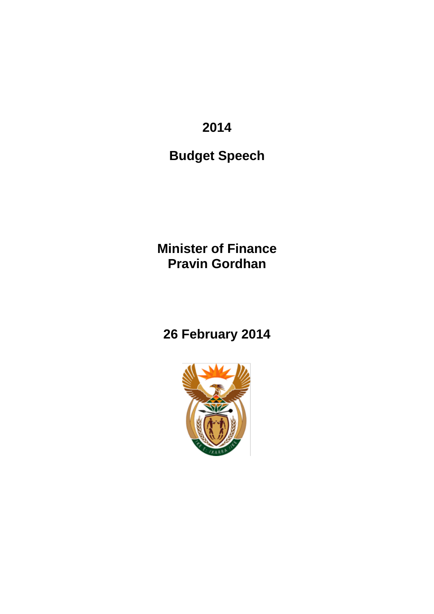**2014**

**Budget Speech**

**Minister of Finance Pravin Gordhan**

# **26 February 2014**

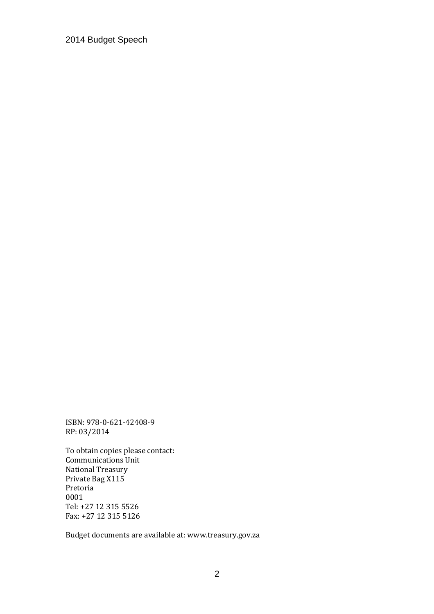ISBN: 978-0-621-42408-9 RP: 03/2014

To obtain copies please contact: Communications Unit National Treasury Private Bag X115 Pretoria 0001 Tel: +27 12 315 5526 Fax: +27 12 315 5126

Budget documents are available at: www.treasury.gov.za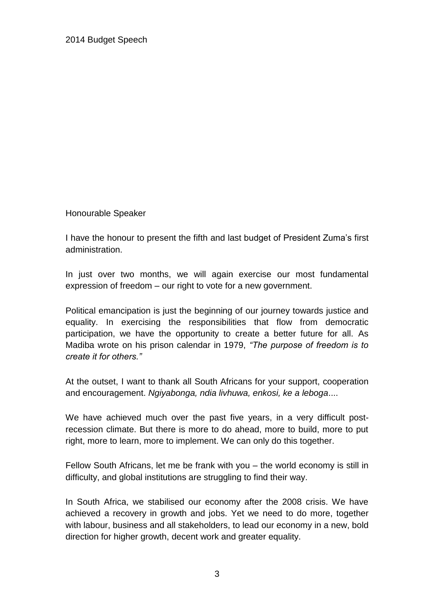Honourable Speaker

I have the honour to present the fifth and last budget of President Zuma's first administration.

In just over two months, we will again exercise our most fundamental expression of freedom – our right to vote for a new government.

Political emancipation is just the beginning of our journey towards justice and equality. In exercising the responsibilities that flow from democratic participation, we have the opportunity to create a better future for all. As Madiba wrote on his prison calendar in 1979, *"The purpose of freedom is to create it for others."*

At the outset, I want to thank all South Africans for your support, cooperation and encouragement. *Ngiyabonga, ndia livhuwa, enkosi, ke a leboga*....

We have achieved much over the past five years, in a very difficult postrecession climate. But there is more to do ahead, more to build, more to put right, more to learn, more to implement. We can only do this together.

Fellow South Africans, let me be frank with you – the world economy is still in difficulty, and global institutions are struggling to find their way.

In South Africa, we stabilised our economy after the 2008 crisis. We have achieved a recovery in growth and jobs. Yet we need to do more, together with labour, business and all stakeholders, to lead our economy in a new, bold direction for higher growth, decent work and greater equality.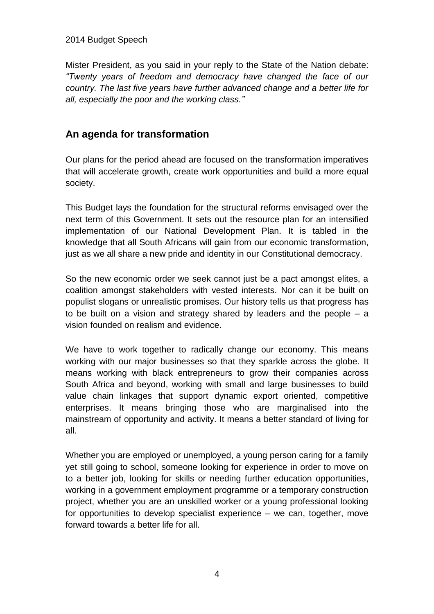Mister President, as you said in your reply to the State of the Nation debate: *"Twenty years of freedom and democracy have changed the face of our country. The last five years have further advanced change and a better life for all, especially the poor and the working class."*

# **An agenda for transformation**

Our plans for the period ahead are focused on the transformation imperatives that will accelerate growth, create work opportunities and build a more equal society.

This Budget lays the foundation for the structural reforms envisaged over the next term of this Government. It sets out the resource plan for an intensified implementation of our National Development Plan. It is tabled in the knowledge that all South Africans will gain from our economic transformation, just as we all share a new pride and identity in our Constitutional democracy.

So the new economic order we seek cannot just be a pact amongst elites, a coalition amongst stakeholders with vested interests. Nor can it be built on populist slogans or unrealistic promises. Our history tells us that progress has to be built on a vision and strategy shared by leaders and the people – a vision founded on realism and evidence.

We have to work together to radically change our economy. This means working with our major businesses so that they sparkle across the globe. It means working with black entrepreneurs to grow their companies across South Africa and beyond, working with small and large businesses to build value chain linkages that support dynamic export oriented, competitive enterprises. It means bringing those who are marginalised into the mainstream of opportunity and activity. It means a better standard of living for all.

Whether you are employed or unemployed, a young person caring for a family yet still going to school, someone looking for experience in order to move on to a better job, looking for skills or needing further education opportunities, working in a government employment programme or a temporary construction project, whether you are an unskilled worker or a young professional looking for opportunities to develop specialist experience – we can, together, move forward towards a better life for all.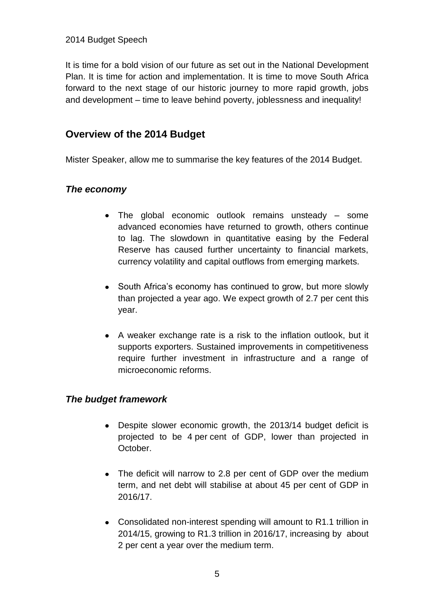It is time for a bold vision of our future as set out in the National Development Plan. It is time for action and implementation. It is time to move South Africa forward to the next stage of our historic journey to more rapid growth, jobs and development – time to leave behind poverty, joblessness and inequality!

### **Overview of the 2014 Budget**

Mister Speaker, allow me to summarise the key features of the 2014 Budget.

### *The economy*

- The global economic outlook remains unsteady some advanced economies have returned to growth, others continue to lag. The slowdown in quantitative easing by the Federal Reserve has caused further uncertainty to financial markets, currency volatility and capital outflows from emerging markets.
- South Africa's economy has continued to grow, but more slowly than projected a year ago. We expect growth of 2.7 per cent this year.
- A weaker exchange rate is a risk to the inflation outlook, but it supports exporters. Sustained improvements in competitiveness require further investment in infrastructure and a range of microeconomic reforms.

### *The budget framework*

- Despite slower economic growth, the 2013/14 budget deficit is projected to be 4 per cent of GDP, lower than projected in October.
- The deficit will narrow to 2.8 per cent of GDP over the medium term, and net debt will stabilise at about 45 per cent of GDP in 2016/17.
- Consolidated non-interest spending will amount to R1.1 trillion in 2014/15, growing to R1.3 trillion in 2016/17, increasing by about 2 per cent a year over the medium term.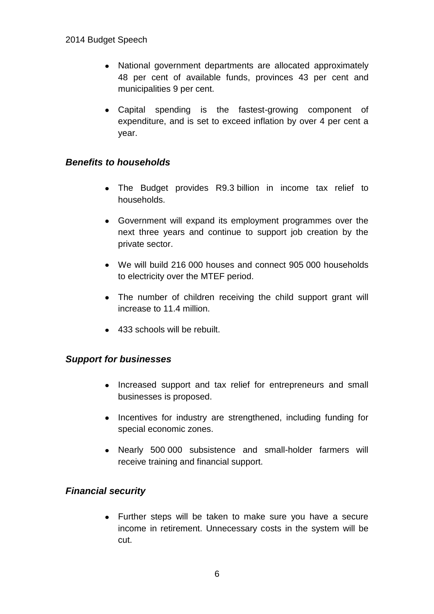- National government departments are allocated approximately 48 per cent of available funds, provinces 43 per cent and municipalities 9 per cent.
- Capital spending is the fastest-growing component of expenditure, and is set to exceed inflation by over 4 per cent a year.

### *Benefits to households*

- The Budget provides R9.3 billion in income tax relief to households.
- Government will expand its employment programmes over the next three years and continue to support job creation by the private sector.
- We will build 216 000 houses and connect 905 000 households to electricity over the MTEF period.
- The number of children receiving the child support grant will increase to 11.4 million.
- 433 schools will be rebuilt.

### *Support for businesses*

- Increased support and tax relief for entrepreneurs and small businesses is proposed.
- Incentives for industry are strengthened, including funding for special economic zones.
- Nearly 500 000 subsistence and small-holder farmers will receive training and financial support.

### *Financial security*

Further steps will be taken to make sure you have a secure income in retirement. Unnecessary costs in the system will be cut.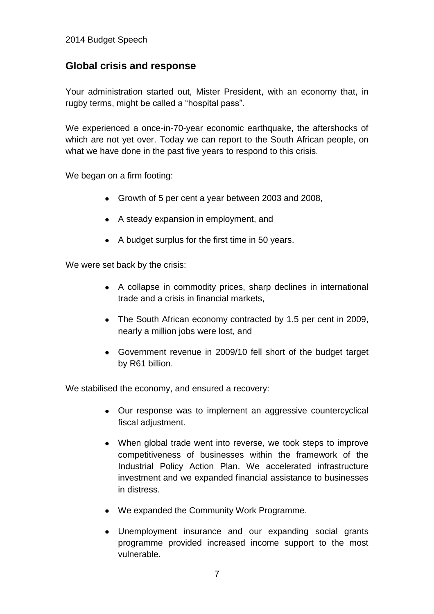# **Global crisis and response**

Your administration started out, Mister President, with an economy that, in rugby terms, might be called a "hospital pass".

We experienced a once-in-70-year economic earthquake, the aftershocks of which are not yet over. Today we can report to the South African people, on what we have done in the past five years to respond to this crisis.

We began on a firm footing:

- Growth of 5 per cent a year between 2003 and 2008,
- A steady expansion in employment, and
- A budget surplus for the first time in 50 years.

We were set back by the crisis:

- A collapse in commodity prices, sharp declines in international trade and a crisis in financial markets,
- The South African economy contracted by 1.5 per cent in 2009, nearly a million jobs were lost, and
- Government revenue in 2009/10 fell short of the budget target by R61 billion.

We stabilised the economy, and ensured a recovery:

- Our response was to implement an aggressive countercyclical fiscal adjustment.
- When global trade went into reverse, we took steps to improve competitiveness of businesses within the framework of the Industrial Policy Action Plan. We accelerated infrastructure investment and we expanded financial assistance to businesses in distress.
- We expanded the Community Work Programme.
- Unemployment insurance and our expanding social grants programme provided increased income support to the most vulnerable.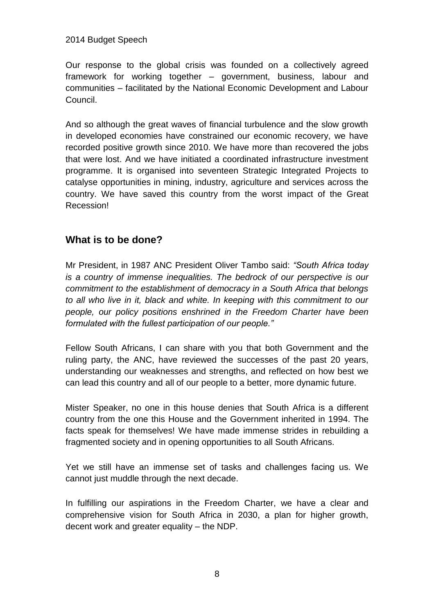Our response to the global crisis was founded on a collectively agreed framework for working together – government, business, labour and communities – facilitated by the National Economic Development and Labour Council.

And so although the great waves of financial turbulence and the slow growth in developed economies have constrained our economic recovery, we have recorded positive growth since 2010. We have more than recovered the jobs that were lost. And we have initiated a coordinated infrastructure investment programme. It is organised into seventeen Strategic Integrated Projects to catalyse opportunities in mining, industry, agriculture and services across the country. We have saved this country from the worst impact of the Great Recession!

# **What is to be done?**

Mr President, in 1987 ANC President Oliver Tambo said: *"South Africa today is a country of immense inequalities. The bedrock of our perspective is our commitment to the establishment of democracy in a South Africa that belongs to all who live in it, black and white. In keeping with this commitment to our people, our policy positions enshrined in the Freedom Charter have been formulated with the fullest participation of our people."*

Fellow South Africans, I can share with you that both Government and the ruling party, the ANC, have reviewed the successes of the past 20 years, understanding our weaknesses and strengths, and reflected on how best we can lead this country and all of our people to a better, more dynamic future.

Mister Speaker, no one in this house denies that South Africa is a different country from the one this House and the Government inherited in 1994. The facts speak for themselves! We have made immense strides in rebuilding a fragmented society and in opening opportunities to all South Africans.

Yet we still have an immense set of tasks and challenges facing us. We cannot just muddle through the next decade.

In fulfilling our aspirations in the Freedom Charter, we have a clear and comprehensive vision for South Africa in 2030, a plan for higher growth, decent work and greater equality – the NDP.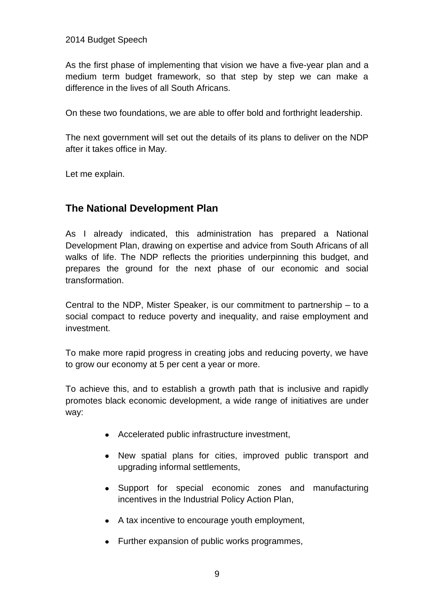As the first phase of implementing that vision we have a five-year plan and a medium term budget framework, so that step by step we can make a difference in the lives of all South Africans.

On these two foundations, we are able to offer bold and forthright leadership.

The next government will set out the details of its plans to deliver on the NDP after it takes office in May.

Let me explain.

# **The National Development Plan**

As I already indicated, this administration has prepared a National Development Plan, drawing on expertise and advice from South Africans of all walks of life. The NDP reflects the priorities underpinning this budget, and prepares the ground for the next phase of our economic and social transformation.

Central to the NDP, Mister Speaker, is our commitment to partnership – to a social compact to reduce poverty and inequality, and raise employment and investment.

To make more rapid progress in creating jobs and reducing poverty, we have to grow our economy at 5 per cent a year or more.

To achieve this, and to establish a growth path that is inclusive and rapidly promotes black economic development, a wide range of initiatives are under way:

- Accelerated public infrastructure investment,
- New spatial plans for cities, improved public transport and upgrading informal settlements,
- Support for special economic zones and manufacturing incentives in the Industrial Policy Action Plan,
- A tax incentive to encourage youth employment,
- Further expansion of public works programmes,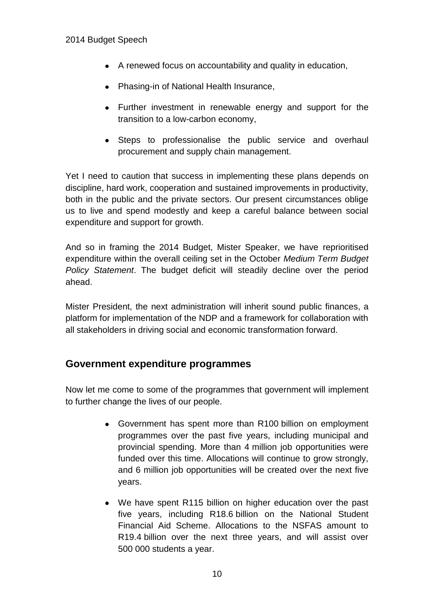- A renewed focus on accountability and quality in education,
- Phasing-in of National Health Insurance,
- Further investment in renewable energy and support for the transition to a low-carbon economy,
- Steps to professionalise the public service and overhaul procurement and supply chain management.

Yet I need to caution that success in implementing these plans depends on discipline, hard work, cooperation and sustained improvements in productivity, both in the public and the private sectors. Our present circumstances oblige us to live and spend modestly and keep a careful balance between social expenditure and support for growth.

And so in framing the 2014 Budget, Mister Speaker, we have reprioritised expenditure within the overall ceiling set in the October *Medium Term Budget Policy Statement*. The budget deficit will steadily decline over the period ahead.

Mister President, the next administration will inherit sound public finances, a platform for implementation of the NDP and a framework for collaboration with all stakeholders in driving social and economic transformation forward.

### **Government expenditure programmes**

Now let me come to some of the programmes that government will implement to further change the lives of our people.

- Government has spent more than R100 billion on employment programmes over the past five years, including municipal and provincial spending. More than 4 million job opportunities were funded over this time. Allocations will continue to grow strongly, and 6 million job opportunities will be created over the next five years.
- We have spent R115 billion on higher education over the past five years, including R18.6 billion on the National Student Financial Aid Scheme. Allocations to the NSFAS amount to R19.4 billion over the next three years, and will assist over 500 000 students a year.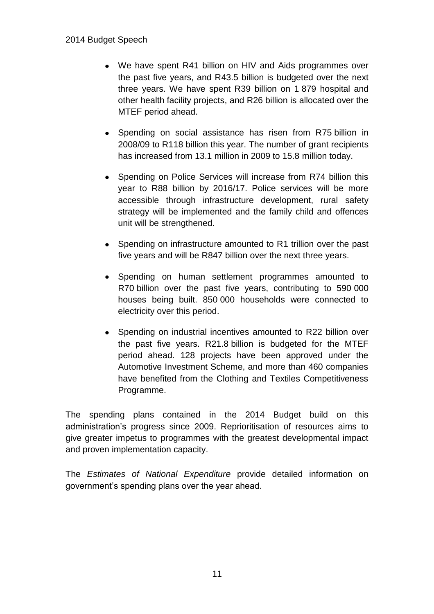- We have spent R41 billion on HIV and Aids programmes over the past five years, and R43.5 billion is budgeted over the next three years. We have spent R39 billion on 1 879 hospital and other health facility projects, and R26 billion is allocated over the MTEF period ahead.
- Spending on social assistance has risen from R75 billion in 2008/09 to R118 billion this year. The number of grant recipients has increased from 13.1 million in 2009 to 15.8 million today.
- Spending on Police Services will increase from R74 billion this year to R88 billion by 2016/17. Police services will be more accessible through infrastructure development, rural safety strategy will be implemented and the family child and offences unit will be strengthened.
- Spending on infrastructure amounted to R1 trillion over the past five years and will be R847 billion over the next three years.
- Spending on human settlement programmes amounted to R70 billion over the past five years, contributing to 590 000 houses being built. 850 000 households were connected to electricity over this period.
- Spending on industrial incentives amounted to R22 billion over the past five years. R21.8 billion is budgeted for the MTEF period ahead. 128 projects have been approved under the Automotive Investment Scheme, and more than 460 companies have benefited from the Clothing and Textiles Competitiveness Programme.

The spending plans contained in the 2014 Budget build on this administration's progress since 2009. Reprioritisation of resources aims to give greater impetus to programmes with the greatest developmental impact and proven implementation capacity.

The *Estimates of National Expenditure* provide detailed information on government's spending plans over the year ahead.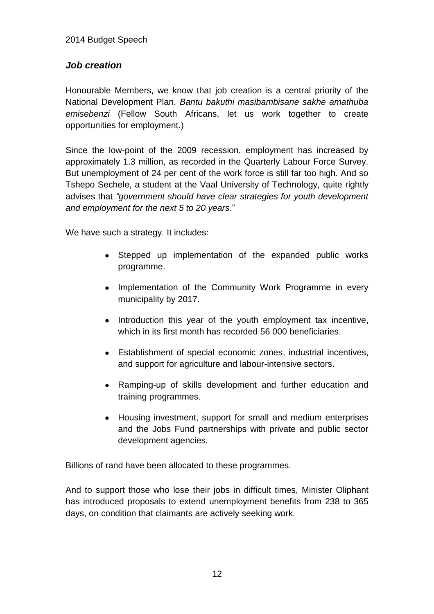### *Job creation*

Honourable Members, we know that job creation is a central priority of the National Development Plan. *Bantu bakuthi masibambisane sakhe amathuba emisebenzi* (Fellow South Africans, let us work together to create opportunities for employment.)

Since the low-point of the 2009 recession, employment has increased by approximately 1.3 million, as recorded in the Quarterly Labour Force Survey. But unemployment of 24 per cent of the work force is still far too high. And so Tshepo Sechele, a student at the Vaal University of Technology, quite rightly advises that *"government should have clear strategies for youth development and employment for the next 5 to 20 years*."

We have such a strategy. It includes:

- Stepped up implementation of the expanded public works programme.
- Implementation of the Community Work Programme in every municipality by 2017.
- Introduction this year of the youth employment tax incentive, which in its first month has recorded 56 000 beneficiaries.
- Establishment of special economic zones, industrial incentives, and support for agriculture and labour-intensive sectors.
- Ramping-up of skills development and further education and training programmes.
- Housing investment, support for small and medium enterprises and the Jobs Fund partnerships with private and public sector development agencies.

Billions of rand have been allocated to these programmes.

And to support those who lose their jobs in difficult times, Minister Oliphant has introduced proposals to extend unemployment benefits from 238 to 365 days, on condition that claimants are actively seeking work.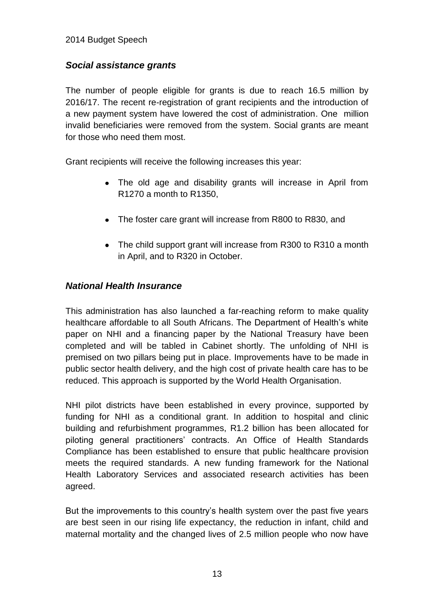### *Social assistance grants*

The number of people eligible for grants is due to reach 16.5 million by 2016/17. The recent re-registration of grant recipients and the introduction of a new payment system have lowered the cost of administration. One million invalid beneficiaries were removed from the system. Social grants are meant for those who need them most.

Grant recipients will receive the following increases this year:

- The old age and disability grants will increase in April from R1270 a month to R1350,
- The foster care grant will increase from R800 to R830, and
- The child support grant will increase from R300 to R310 a month in April, and to R320 in October.

### *National Health Insurance*

This administration has also launched a far-reaching reform to make quality healthcare affordable to all South Africans. The Department of Health's white paper on NHI and a financing paper by the National Treasury have been completed and will be tabled in Cabinet shortly. The unfolding of NHI is premised on two pillars being put in place. Improvements have to be made in public sector health delivery, and the high cost of private health care has to be reduced. This approach is supported by the World Health Organisation.

NHI pilot districts have been established in every province, supported by funding for NHI as a conditional grant. In addition to hospital and clinic building and refurbishment programmes, R1.2 billion has been allocated for piloting general practitioners' contracts. An Office of Health Standards Compliance has been established to ensure that public healthcare provision meets the required standards. A new funding framework for the National Health Laboratory Services and associated research activities has been agreed.

But the improvements to this country's health system over the past five years are best seen in our rising life expectancy, the reduction in infant, child and maternal mortality and the changed lives of 2.5 million people who now have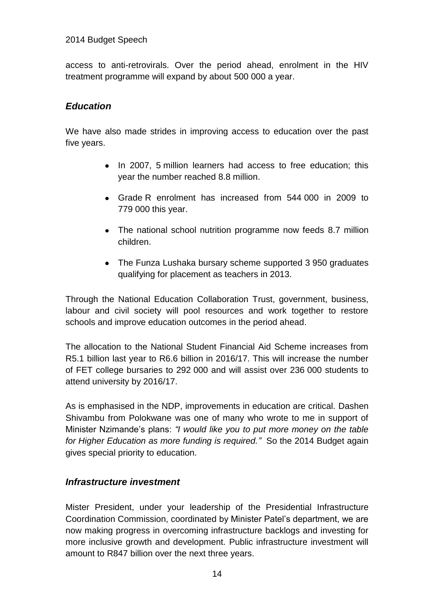access to anti-retrovirals. Over the period ahead, enrolment in the HIV treatment programme will expand by about 500 000 a year.

#### *Education*

We have also made strides in improving access to education over the past five years.

- In 2007, 5 million learners had access to free education; this year the number reached 8.8 million.
- Grade R enrolment has increased from 544 000 in 2009 to 779 000 this year.
- The national school nutrition programme now feeds 8.7 million children.
- The Funza Lushaka bursary scheme supported 3 950 graduates qualifying for placement as teachers in 2013.

Through the National Education Collaboration Trust, government, business, labour and civil society will pool resources and work together to restore schools and improve education outcomes in the period ahead.

The allocation to the National Student Financial Aid Scheme increases from R5.1 billion last year to R6.6 billion in 2016/17. This will increase the number of FET college bursaries to 292 000 and will assist over 236 000 students to attend university by 2016/17.

As is emphasised in the NDP, improvements in education are critical. Dashen Shivambu from Polokwane was one of many who wrote to me in support of Minister Nzimande's plans: *"I would like you to put more money on the table for Higher Education as more funding is required."* So the 2014 Budget again gives special priority to education.

### *Infrastructure investment*

Mister President, under your leadership of the Presidential Infrastructure Coordination Commission, coordinated by Minister Patel's department, we are now making progress in overcoming infrastructure backlogs and investing for more inclusive growth and development. Public infrastructure investment will amount to R847 billion over the next three years.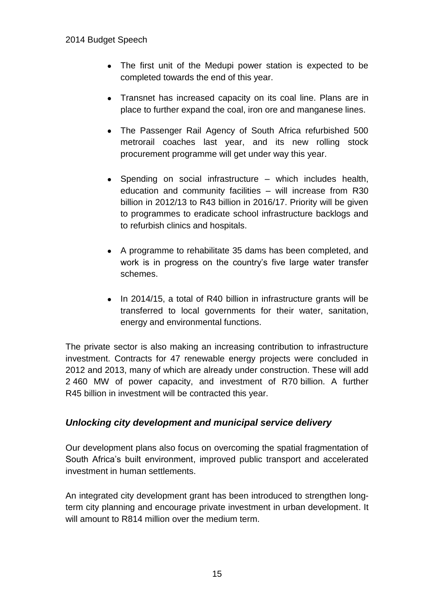- The first unit of the Medupi power station is expected to be completed towards the end of this year.
- Transnet has increased capacity on its coal line. Plans are in place to further expand the coal, iron ore and manganese lines.
- The Passenger Rail Agency of South Africa refurbished 500 metrorail coaches last year, and its new rolling stock procurement programme will get under way this year.
- Spending on social infrastructure which includes health, education and community facilities – will increase from R30 billion in 2012/13 to R43 billion in 2016/17. Priority will be given to programmes to eradicate school infrastructure backlogs and to refurbish clinics and hospitals.
- A programme to rehabilitate 35 dams has been completed, and work is in progress on the country's five large water transfer schemes.
- In 2014/15, a total of R40 billion in infrastructure grants will be transferred to local governments for their water, sanitation, energy and environmental functions.

The private sector is also making an increasing contribution to infrastructure investment. Contracts for 47 renewable energy projects were concluded in 2012 and 2013, many of which are already under construction. These will add 2 460 MW of power capacity, and investment of R70 billion. A further R45 billion in investment will be contracted this year.

### *Unlocking city development and municipal service delivery*

Our development plans also focus on overcoming the spatial fragmentation of South Africa's built environment, improved public transport and accelerated investment in human settlements.

An integrated city development grant has been introduced to strengthen longterm city planning and encourage private investment in urban development. It will amount to R814 million over the medium term.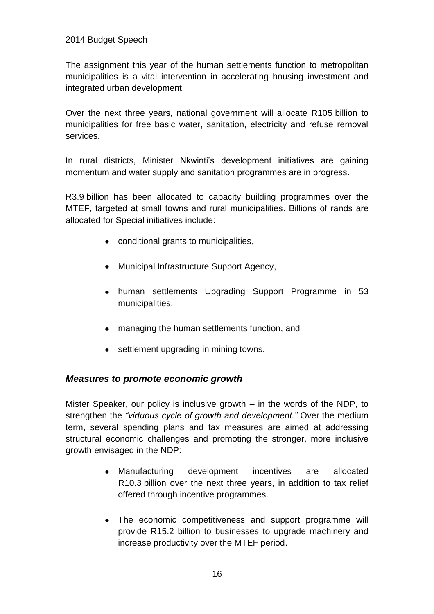The assignment this year of the human settlements function to metropolitan municipalities is a vital intervention in accelerating housing investment and integrated urban development.

Over the next three years, national government will allocate R105 billion to municipalities for free basic water, sanitation, electricity and refuse removal services.

In rural districts, Minister Nkwinti's development initiatives are gaining momentum and water supply and sanitation programmes are in progress.

R3.9 billion has been allocated to capacity building programmes over the MTEF, targeted at small towns and rural municipalities. Billions of rands are allocated for Special initiatives include:

- conditional grants to municipalities,
- Municipal Infrastructure Support Agency,
- human settlements Upgrading Support Programme in 53 municipalities,
- managing the human settlements function, and
- settlement upgrading in mining towns.

### *Measures to promote economic growth*

Mister Speaker, our policy is inclusive growth – in the words of the NDP, to strengthen the *"virtuous cycle of growth and development."* Over the medium term, several spending plans and tax measures are aimed at addressing structural economic challenges and promoting the stronger, more inclusive growth envisaged in the NDP:

- Manufacturing development incentives are allocated R10.3 billion over the next three years, in addition to tax relief offered through incentive programmes.
- The economic competitiveness and support programme will provide R15.2 billion to businesses to upgrade machinery and increase productivity over the MTEF period.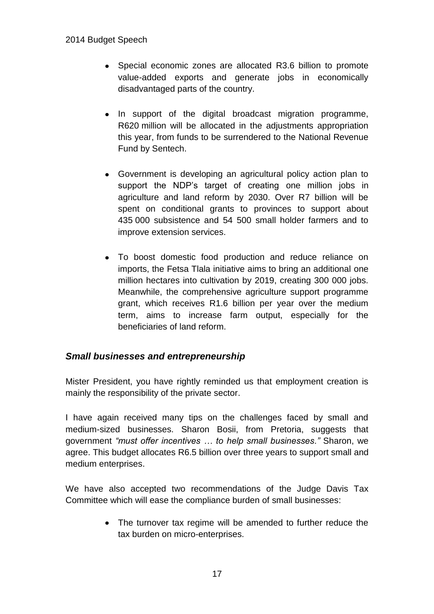- Special economic zones are allocated R3.6 billion to promote value-added exports and generate jobs in economically disadvantaged parts of the country.
- In support of the digital broadcast migration programme, R620 million will be allocated in the adjustments appropriation this year, from funds to be surrendered to the National Revenue Fund by Sentech.
- Government is developing an agricultural policy action plan to support the NDP's target of creating one million jobs in agriculture and land reform by 2030. Over R7 billion will be spent on conditional grants to provinces to support about 435 000 subsistence and 54 500 small holder farmers and to improve extension services.
- To boost domestic food production and reduce reliance on imports, the Fetsa Tlala initiative aims to bring an additional one million hectares into cultivation by 2019, creating 300 000 jobs. Meanwhile, the comprehensive agriculture support programme grant, which receives R1.6 billion per year over the medium term, aims to increase farm output, especially for the beneficiaries of land reform.

### *Small businesses and entrepreneurship*

Mister President, you have rightly reminded us that employment creation is mainly the responsibility of the private sector.

I have again received many tips on the challenges faced by small and medium-sized businesses. Sharon Bosii, from Pretoria, suggests that government *"must offer incentives … to help small businesses."* Sharon, we agree. This budget allocates R6.5 billion over three years to support small and medium enterprises.

We have also accepted two recommendations of the Judge Davis Tax Committee which will ease the compliance burden of small businesses:

> The turnover tax regime will be amended to further reduce the tax burden on micro-enterprises.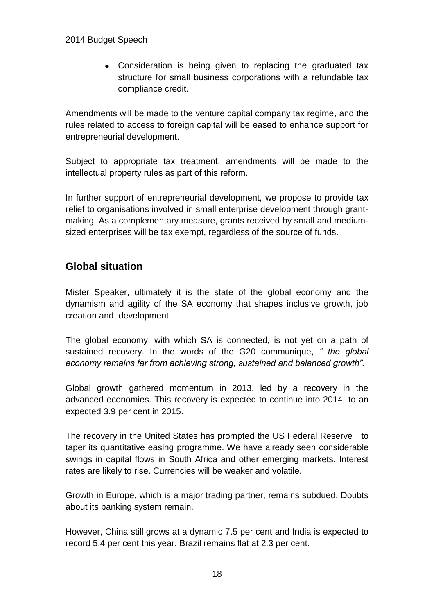Consideration is being given to replacing the graduated tax structure for small business corporations with a refundable tax compliance credit.

Amendments will be made to the venture capital company tax regime, and the rules related to access to foreign capital will be eased to enhance support for entrepreneurial development.

Subject to appropriate tax treatment, amendments will be made to the intellectual property rules as part of this reform.

In further support of entrepreneurial development, we propose to provide tax relief to organisations involved in small enterprise development through grantmaking. As a complementary measure, grants received by small and mediumsized enterprises will be tax exempt, regardless of the source of funds.

# **Global situation**

Mister Speaker, ultimately it is the state of the global economy and the dynamism and agility of the SA economy that shapes inclusive growth, job creation and development.

The global economy, with which SA is connected, is not yet on a path of sustained recovery. In the words of the G20 communique, *" the global economy remains far from achieving strong, sustained and balanced growth".*

Global growth gathered momentum in 2013, led by a recovery in the advanced economies. This recovery is expected to continue into 2014, to an expected 3.9 per cent in 2015.

The recovery in the United States has prompted the US Federal Reserve to taper its quantitative easing programme. We have already seen considerable swings in capital flows in South Africa and other emerging markets. Interest rates are likely to rise. Currencies will be weaker and volatile.

Growth in Europe, which is a major trading partner, remains subdued. Doubts about its banking system remain.

However, China still grows at a dynamic 7.5 per cent and India is expected to record 5.4 per cent this year. Brazil remains flat at 2.3 per cent.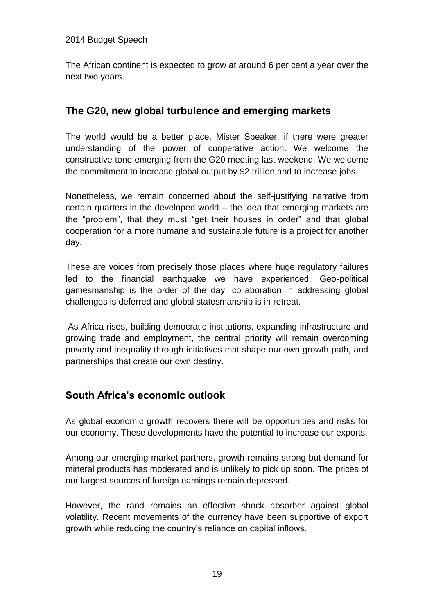The African continent is expected to grow at around 6 per cent a year over the next two years.

# **The G20, new global turbulence and emerging markets**

The world would be a better place, Mister Speaker, if there were greater understanding of the power of cooperative action. We welcome the constructive tone emerging from the G20 meeting last weekend. We welcome the commitment to increase global output by \$2 trillion and to increase jobs.

Nonetheless, we remain concerned about the self-justifying narrative from certain quarters in the developed world – the idea that emerging markets are the "problem", that they must "get their houses in order" and that global cooperation for a more humane and sustainable future is a project for another day.

These are voices from precisely those places where huge regulatory failures led to the financial earthquake we have experienced. Geo-political gamesmanship is the order of the day, collaboration in addressing global challenges is deferred and global statesmanship is in retreat.

As Africa rises, building democratic institutions, expanding infrastructure and growing trade and employment, the central priority will remain overcoming poverty and inequality through initiatives that shape our own growth path, and partnerships that create our own destiny.

# **South Africa's economic outlook**

As global economic growth recovers there will be opportunities and risks for our economy. These developments have the potential to increase our exports.

Among our emerging market partners, growth remains strong but demand for mineral products has moderated and is unlikely to pick up soon. The prices of our largest sources of foreign earnings remain depressed.

However, the rand remains an effective shock absorber against global volatility. Recent movements of the currency have been supportive of export growth while reducing the country's reliance on capital inflows.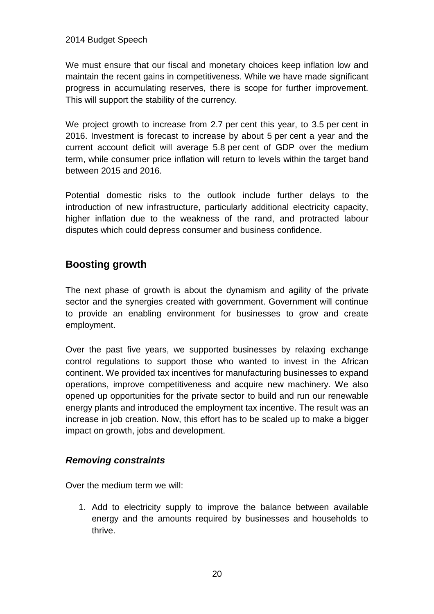We must ensure that our fiscal and monetary choices keep inflation low and maintain the recent gains in competitiveness. While we have made significant progress in accumulating reserves, there is scope for further improvement. This will support the stability of the currency.

We project growth to increase from 2.7 per cent this year, to 3.5 per cent in 2016. Investment is forecast to increase by about 5 per cent a year and the current account deficit will average 5.8 per cent of GDP over the medium term, while consumer price inflation will return to levels within the target band between 2015 and 2016.

Potential domestic risks to the outlook include further delays to the introduction of new infrastructure, particularly additional electricity capacity, higher inflation due to the weakness of the rand, and protracted labour disputes which could depress consumer and business confidence.

# **Boosting growth**

The next phase of growth is about the dynamism and agility of the private sector and the synergies created with government. Government will continue to provide an enabling environment for businesses to grow and create employment.

Over the past five years, we supported businesses by relaxing exchange control regulations to support those who wanted to invest in the African continent. We provided tax incentives for manufacturing businesses to expand operations, improve competitiveness and acquire new machinery. We also opened up opportunities for the private sector to build and run our renewable energy plants and introduced the employment tax incentive. The result was an increase in job creation. Now, this effort has to be scaled up to make a bigger impact on growth, jobs and development.

### *Removing constraints*

Over the medium term we will:

1. Add to electricity supply to improve the balance between available energy and the amounts required by businesses and households to thrive.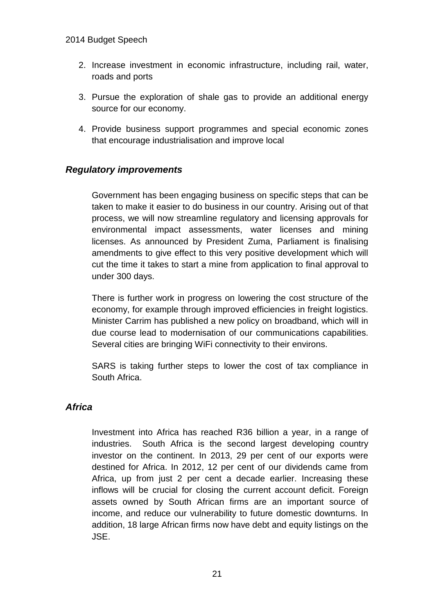- 2. Increase investment in economic infrastructure, including rail, water, roads and ports
- 3. Pursue the exploration of shale gas to provide an additional energy source for our economy.
- 4. Provide business support programmes and special economic zones that encourage industrialisation and improve local

### *Regulatory improvements*

Government has been engaging business on specific steps that can be taken to make it easier to do business in our country. Arising out of that process, we will now streamline regulatory and licensing approvals for environmental impact assessments, water licenses and mining licenses. As announced by President Zuma, Parliament is finalising amendments to give effect to this very positive development which will cut the time it takes to start a mine from application to final approval to under 300 days.

There is further work in progress on lowering the cost structure of the economy, for example through improved efficiencies in freight logistics. Minister Carrim has published a new policy on broadband, which will in due course lead to modernisation of our communications capabilities. Several cities are bringing WiFi connectivity to their environs.

SARS is taking further steps to lower the cost of tax compliance in South Africa.

### *Africa*

Investment into Africa has reached R36 billion a year, in a range of industries. South Africa is the second largest developing country investor on the continent. In 2013, 29 per cent of our exports were destined for Africa. In 2012, 12 per cent of our dividends came from Africa, up from just 2 per cent a decade earlier. Increasing these inflows will be crucial for closing the current account deficit. Foreign assets owned by South African firms are an important source of income, and reduce our vulnerability to future domestic downturns. In addition, 18 large African firms now have debt and equity listings on the JSE.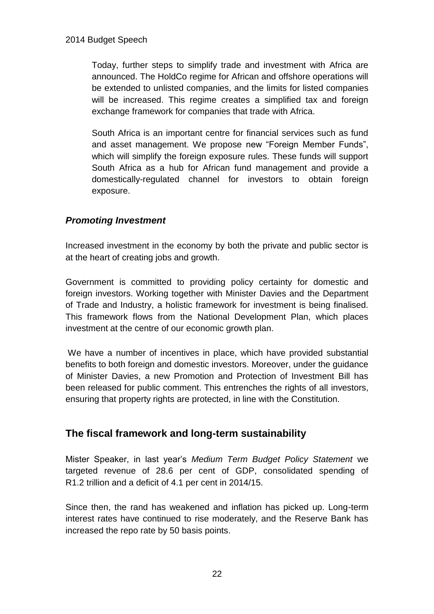Today, further steps to simplify trade and investment with Africa are announced. The HoldCo regime for African and offshore operations will be extended to unlisted companies, and the limits for listed companies will be increased. This regime creates a simplified tax and foreign exchange framework for companies that trade with Africa.

South Africa is an important centre for financial services such as fund and asset management. We propose new "Foreign Member Funds", which will simplify the foreign exposure rules. These funds will support South Africa as a hub for African fund management and provide a domestically-regulated channel for investors to obtain foreign exposure.

# *Promoting Investment*

Increased investment in the economy by both the private and public sector is at the heart of creating jobs and growth.

Government is committed to providing policy certainty for domestic and foreign investors. Working together with Minister Davies and the Department of Trade and Industry, a holistic framework for investment is being finalised. This framework flows from the National Development Plan, which places investment at the centre of our economic growth plan.

We have a number of incentives in place, which have provided substantial benefits to both foreign and domestic investors. Moreover, under the guidance of Minister Davies, a new Promotion and Protection of Investment Bill has been released for public comment. This entrenches the rights of all investors, ensuring that property rights are protected, in line with the Constitution.

# **The fiscal framework and long-term sustainability**

Mister Speaker, in last year's *Medium Term Budget Policy Statement* we targeted revenue of 28.6 per cent of GDP, consolidated spending of R1.2 trillion and a deficit of 4.1 per cent in 2014/15.

Since then, the rand has weakened and inflation has picked up. Long-term interest rates have continued to rise moderately, and the Reserve Bank has increased the repo rate by 50 basis points.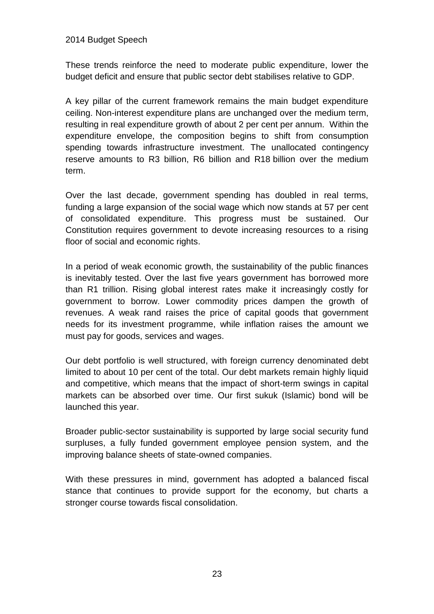These trends reinforce the need to moderate public expenditure, lower the budget deficit and ensure that public sector debt stabilises relative to GDP.

A key pillar of the current framework remains the main budget expenditure ceiling. Non-interest expenditure plans are unchanged over the medium term, resulting in real expenditure growth of about 2 per cent per annum. Within the expenditure envelope, the composition begins to shift from consumption spending towards infrastructure investment. The unallocated contingency reserve amounts to R3 billion, R6 billion and R18 billion over the medium term.

Over the last decade, government spending has doubled in real terms, funding a large expansion of the social wage which now stands at 57 per cent of consolidated expenditure. This progress must be sustained. Our Constitution requires government to devote increasing resources to a rising floor of social and economic rights.

In a period of weak economic growth, the sustainability of the public finances is inevitably tested. Over the last five years government has borrowed more than R1 trillion. Rising global interest rates make it increasingly costly for government to borrow. Lower commodity prices dampen the growth of revenues. A weak rand raises the price of capital goods that government needs for its investment programme, while inflation raises the amount we must pay for goods, services and wages.

Our debt portfolio is well structured, with foreign currency denominated debt limited to about 10 per cent of the total. Our debt markets remain highly liquid and competitive, which means that the impact of short-term swings in capital markets can be absorbed over time. Our first sukuk (Islamic) bond will be launched this year.

Broader public-sector sustainability is supported by large social security fund surpluses, a fully funded government employee pension system, and the improving balance sheets of state-owned companies.

With these pressures in mind, government has adopted a balanced fiscal stance that continues to provide support for the economy, but charts a stronger course towards fiscal consolidation.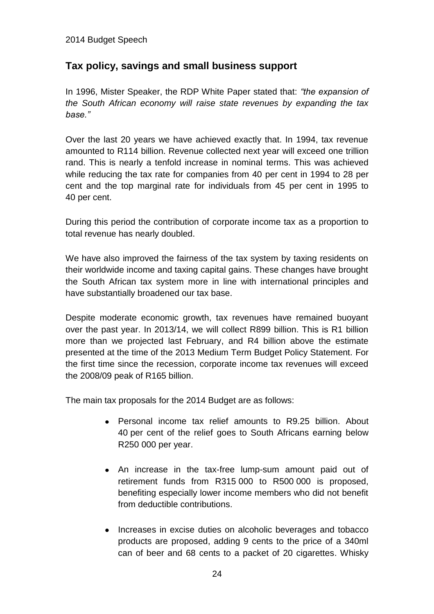# **Tax policy, savings and small business support**

In 1996, Mister Speaker, the RDP White Paper stated that: *"the expansion of the South African economy will raise state revenues by expanding the tax base."* 

Over the last 20 years we have achieved exactly that. In 1994, tax revenue amounted to R114 billion. Revenue collected next year will exceed one trillion rand. This is nearly a tenfold increase in nominal terms. This was achieved while reducing the tax rate for companies from 40 per cent in 1994 to 28 per cent and the top marginal rate for individuals from 45 per cent in 1995 to 40 per cent.

During this period the contribution of corporate income tax as a proportion to total revenue has nearly doubled.

We have also improved the fairness of the tax system by taxing residents on their worldwide income and taxing capital gains. These changes have brought the South African tax system more in line with international principles and have substantially broadened our tax base.

Despite moderate economic growth, tax revenues have remained buoyant over the past year. In 2013/14, we will collect R899 billion. This is R1 billion more than we projected last February, and R4 billion above the estimate presented at the time of the 2013 Medium Term Budget Policy Statement. For the first time since the recession, corporate income tax revenues will exceed the 2008/09 peak of R165 billion.

The main tax proposals for the 2014 Budget are as follows:

- Personal income tax relief amounts to R9.25 billion. About 40 per cent of the relief goes to South Africans earning below R250 000 per year.
- An increase in the tax-free lump-sum amount paid out of retirement funds from R315 000 to R500 000 is proposed, benefiting especially lower income members who did not benefit from deductible contributions.
- Increases in excise duties on alcoholic beverages and tobacco products are proposed, adding 9 cents to the price of a 340ml can of beer and 68 cents to a packet of 20 cigarettes. Whisky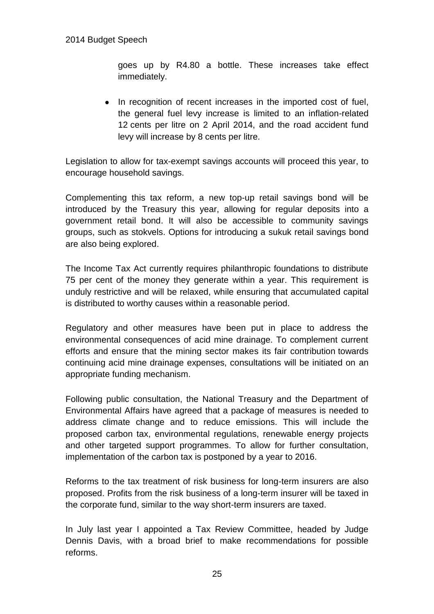goes up by R4.80 a bottle. These increases take effect immediately.

• In recognition of recent increases in the imported cost of fuel, the general fuel levy increase is limited to an inflation-related 12 cents per litre on 2 April 2014, and the road accident fund levy will increase by 8 cents per litre.

Legislation to allow for tax-exempt savings accounts will proceed this year, to encourage household savings.

Complementing this tax reform, a new top-up retail savings bond will be introduced by the Treasury this year, allowing for regular deposits into a government retail bond. It will also be accessible to community savings groups, such as stokvels. Options for introducing a sukuk retail savings bond are also being explored.

The Income Tax Act currently requires philanthropic foundations to distribute 75 per cent of the money they generate within a year. This requirement is unduly restrictive and will be relaxed, while ensuring that accumulated capital is distributed to worthy causes within a reasonable period.

Regulatory and other measures have been put in place to address the environmental consequences of acid mine drainage. To complement current efforts and ensure that the mining sector makes its fair contribution towards continuing acid mine drainage expenses, consultations will be initiated on an appropriate funding mechanism.

Following public consultation, the National Treasury and the Department of Environmental Affairs have agreed that a package of measures is needed to address climate change and to reduce emissions. This will include the proposed carbon tax, environmental regulations, renewable energy projects and other targeted support programmes. To allow for further consultation, implementation of the carbon tax is postponed by a year to 2016.

Reforms to the tax treatment of risk business for long-term insurers are also proposed. Profits from the risk business of a long-term insurer will be taxed in the corporate fund, similar to the way short-term insurers are taxed.

In July last year I appointed a Tax Review Committee, headed by Judge Dennis Davis, with a broad brief to make recommendations for possible reforms.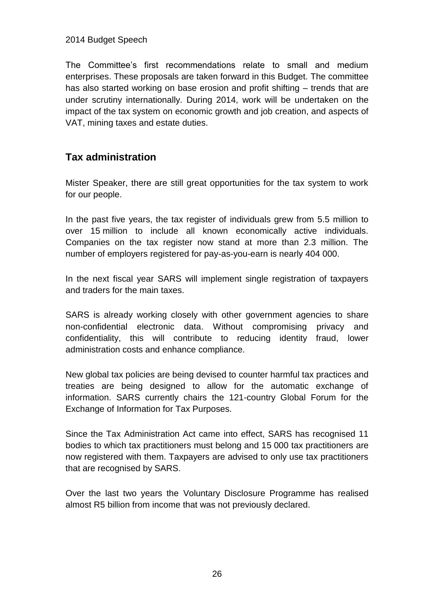The Committee's first recommendations relate to small and medium enterprises. These proposals are taken forward in this Budget. The committee has also started working on base erosion and profit shifting – trends that are under scrutiny internationally. During 2014, work will be undertaken on the impact of the tax system on economic growth and job creation, and aspects of VAT, mining taxes and estate duties.

# **Tax administration**

Mister Speaker, there are still great opportunities for the tax system to work for our people.

In the past five years, the tax register of individuals grew from 5.5 million to over 15 million to include all known economically active individuals. Companies on the tax register now stand at more than 2.3 million. The number of employers registered for pay-as-you-earn is nearly 404 000.

In the next fiscal year SARS will implement single registration of taxpayers and traders for the main taxes.

SARS is already working closely with other government agencies to share non-confidential electronic data. Without compromising privacy and confidentiality, this will contribute to reducing identity fraud, lower administration costs and enhance compliance.

New global tax policies are being devised to counter harmful tax practices and treaties are being designed to allow for the automatic exchange of information. SARS currently chairs the 121-country Global Forum for the Exchange of Information for Tax Purposes.

Since the Tax Administration Act came into effect, SARS has recognised 11 bodies to which tax practitioners must belong and 15 000 tax practitioners are now registered with them. Taxpayers are advised to only use tax practitioners that are recognised by SARS.

Over the last two years the Voluntary Disclosure Programme has realised almost R5 billion from income that was not previously declared.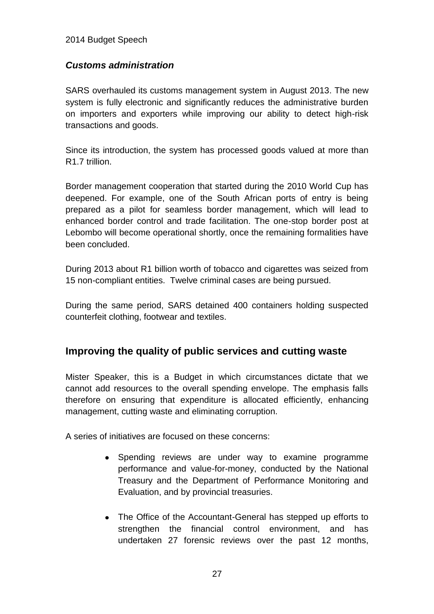### *Customs administration*

SARS overhauled its customs management system in August 2013. The new system is fully electronic and significantly reduces the administrative burden on importers and exporters while improving our ability to detect high-risk transactions and goods.

Since its introduction, the system has processed goods valued at more than R1.7 trillion.

Border management cooperation that started during the 2010 World Cup has deepened. For example, one of the South African ports of entry is being prepared as a pilot for seamless border management, which will lead to enhanced border control and trade facilitation. The one-stop border post at Lebombo will become operational shortly, once the remaining formalities have been concluded.

During 2013 about R1 billion worth of tobacco and cigarettes was seized from 15 non-compliant entities. Twelve criminal cases are being pursued.

During the same period, SARS detained 400 containers holding suspected counterfeit clothing, footwear and textiles.

# **Improving the quality of public services and cutting waste**

Mister Speaker, this is a Budget in which circumstances dictate that we cannot add resources to the overall spending envelope. The emphasis falls therefore on ensuring that expenditure is allocated efficiently, enhancing management, cutting waste and eliminating corruption.

A series of initiatives are focused on these concerns:

- Spending reviews are under way to examine programme performance and value-for-money, conducted by the National Treasury and the Department of Performance Monitoring and Evaluation, and by provincial treasuries.
- The Office of the Accountant-General has stepped up efforts to strengthen the financial control environment, and has undertaken 27 forensic reviews over the past 12 months,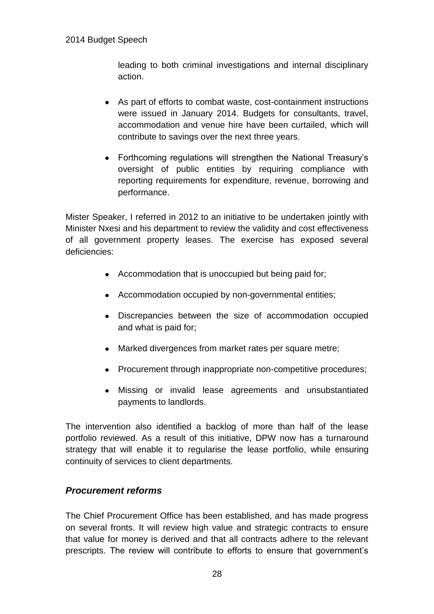leading to both criminal investigations and internal disciplinary action.

- As part of efforts to combat waste, cost-containment instructions were issued in January 2014. Budgets for consultants, travel, accommodation and venue hire have been curtailed, which will contribute to savings over the next three years.
- Forthcoming regulations will strengthen the National Treasury's oversight of public entities by requiring compliance with reporting requirements for expenditure, revenue, borrowing and performance.

Mister Speaker, I referred in 2012 to an initiative to be undertaken jointly with Minister Nxesi and his department to review the validity and cost effectiveness of all government property leases. The exercise has exposed several deficiencies:

- Accommodation that is unoccupied but being paid for;
- Accommodation occupied by non-governmental entities;
- Discrepancies between the size of accommodation occupied and what is paid for;
- Marked divergences from market rates per square metre;
- Procurement through inappropriate non-competitive procedures;
- Missing or invalid lease agreements and unsubstantiated payments to landlords.

The intervention also identified a backlog of more than half of the lease portfolio reviewed. As a result of this initiative, DPW now has a turnaround strategy that will enable it to regularise the lease portfolio, while ensuring continuity of services to client departments.

### *Procurement reforms*

The Chief Procurement Office has been established, and has made progress on several fronts. It will review high value and strategic contracts to ensure that value for money is derived and that all contracts adhere to the relevant prescripts. The review will contribute to efforts to ensure that government's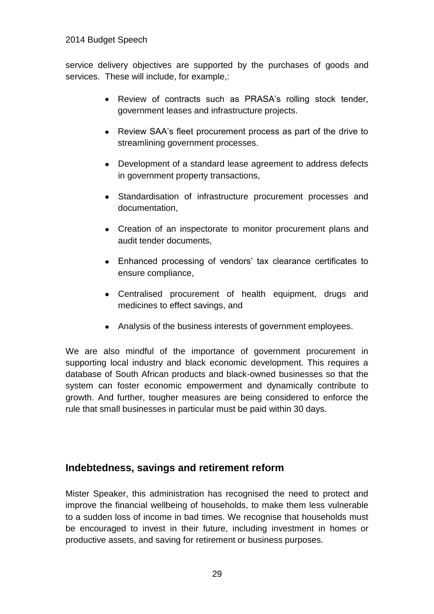service delivery objectives are supported by the purchases of goods and services. These will include, for example,:

- Review of contracts such as PRASA's rolling stock tender, government leases and infrastructure projects.
- Review SAA's fleet procurement process as part of the drive to streamlining government processes.
- Development of a standard lease agreement to address defects in government property transactions,
- Standardisation of infrastructure procurement processes and documentation,
- Creation of an inspectorate to monitor procurement plans and audit tender documents,
- Enhanced processing of vendors' tax clearance certificates to ensure compliance,
- Centralised procurement of health equipment, drugs and medicines to effect savings, and
- Analysis of the business interests of government employees.

We are also mindful of the importance of government procurement in supporting local industry and black economic development. This requires a database of South African products and black-owned businesses so that the system can foster economic empowerment and dynamically contribute to growth. And further, tougher measures are being considered to enforce the rule that small businesses in particular must be paid within 30 days.

# **Indebtedness, savings and retirement reform**

Mister Speaker, this administration has recognised the need to protect and improve the financial wellbeing of households, to make them less vulnerable to a sudden loss of income in bad times. We recognise that households must be encouraged to invest in their future, including investment in homes or productive assets, and saving for retirement or business purposes.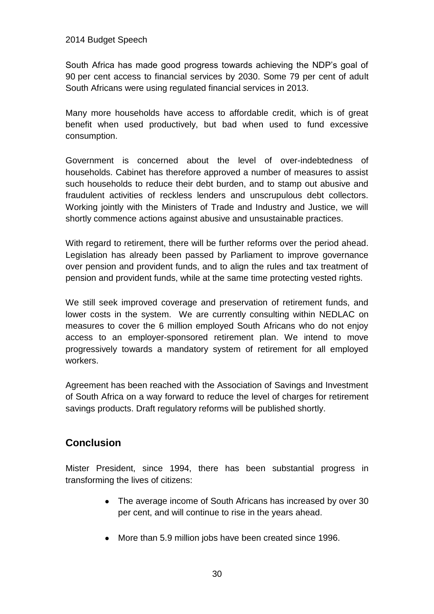South Africa has made good progress towards achieving the NDP's goal of 90 per cent access to financial services by 2030. Some 79 per cent of adult South Africans were using regulated financial services in 2013.

Many more households have access to affordable credit, which is of great benefit when used productively, but bad when used to fund excessive consumption.

Government is concerned about the level of over-indebtedness of households. Cabinet has therefore approved a number of measures to assist such households to reduce their debt burden, and to stamp out abusive and fraudulent activities of reckless lenders and unscrupulous debt collectors. Working jointly with the Ministers of Trade and Industry and Justice, we will shortly commence actions against abusive and unsustainable practices.

With regard to retirement, there will be further reforms over the period ahead. Legislation has already been passed by Parliament to improve governance over pension and provident funds, and to align the rules and tax treatment of pension and provident funds, while at the same time protecting vested rights.

We still seek improved coverage and preservation of retirement funds, and lower costs in the system. We are currently consulting within NEDLAC on measures to cover the 6 million employed South Africans who do not enjoy access to an employer-sponsored retirement plan. We intend to move progressively towards a mandatory system of retirement for all employed workers.

Agreement has been reached with the Association of Savings and Investment of South Africa on a way forward to reduce the level of charges for retirement savings products. Draft regulatory reforms will be published shortly.

# **Conclusion**

Mister President, since 1994, there has been substantial progress in transforming the lives of citizens:

- The average income of South Africans has increased by over 30 per cent, and will continue to rise in the years ahead.
- More than 5.9 million jobs have been created since 1996.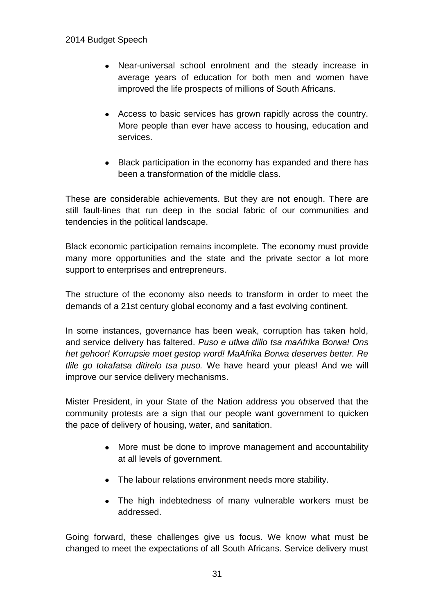- Near-universal school enrolment and the steady increase in average years of education for both men and women have improved the life prospects of millions of South Africans.
- Access to basic services has grown rapidly across the country. More people than ever have access to housing, education and services.
- Black participation in the economy has expanded and there has been a transformation of the middle class.

These are considerable achievements. But they are not enough. There are still fault-lines that run deep in the social fabric of our communities and tendencies in the political landscape.

Black economic participation remains incomplete. The economy must provide many more opportunities and the state and the private sector a lot more support to enterprises and entrepreneurs.

The structure of the economy also needs to transform in order to meet the demands of a 21st century global economy and a fast evolving continent.

In some instances, governance has been weak, corruption has taken hold, and service delivery has faltered. *Puso e utlwa dillo tsa maAfrika Borwa! Ons het gehoor! Korrupsie moet gestop word! MaAfrika Borwa deserves better. Re tlile go tokafatsa ditirelo tsa puso.* We have heard your pleas! And we will improve our service delivery mechanisms.

Mister President, in your State of the Nation address you observed that the community protests are a sign that our people want government to quicken the pace of delivery of housing, water, and sanitation.

- More must be done to improve management and accountability at all levels of government.
- The labour relations environment needs more stability.
- The high indebtedness of many vulnerable workers must be addressed.

Going forward, these challenges give us focus. We know what must be changed to meet the expectations of all South Africans. Service delivery must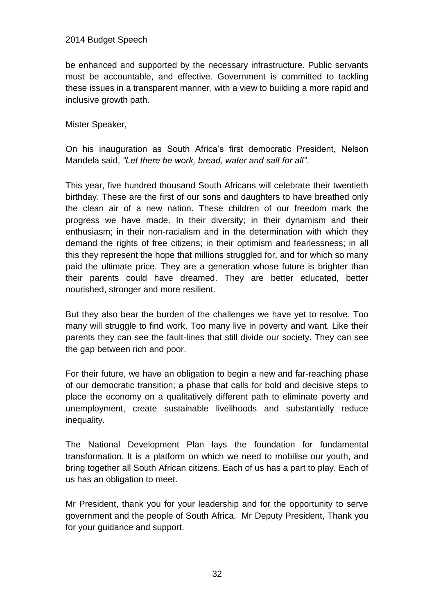be enhanced and supported by the necessary infrastructure. Public servants must be accountable, and effective. Government is committed to tackling these issues in a transparent manner, with a view to building a more rapid and inclusive growth path.

Mister Speaker,

On his inauguration as South Africa's first democratic President, Nelson Mandela said, *"Let there be work, bread, water and salt for all".*

This year, five hundred thousand South Africans will celebrate their twentieth birthday. These are the first of our sons and daughters to have breathed only the clean air of a new nation. These children of our freedom mark the progress we have made. In their diversity; in their dynamism and their enthusiasm; in their non-racialism and in the determination with which they demand the rights of free citizens; in their optimism and fearlessness; in all this they represent the hope that millions struggled for, and for which so many paid the ultimate price. They are a generation whose future is brighter than their parents could have dreamed. They are better educated, better nourished, stronger and more resilient.

But they also bear the burden of the challenges we have yet to resolve. Too many will struggle to find work. Too many live in poverty and want. Like their parents they can see the fault-lines that still divide our society. They can see the gap between rich and poor.

For their future, we have an obligation to begin a new and far-reaching phase of our democratic transition; a phase that calls for bold and decisive steps to place the economy on a qualitatively different path to eliminate poverty and unemployment, create sustainable livelihoods and substantially reduce inequality.

The National Development Plan lays the foundation for fundamental transformation. It is a platform on which we need to mobilise our youth, and bring together all South African citizens. Each of us has a part to play. Each of us has an obligation to meet.

Mr President, thank you for your leadership and for the opportunity to serve government and the people of South Africa. Mr Deputy President, Thank you for your guidance and support.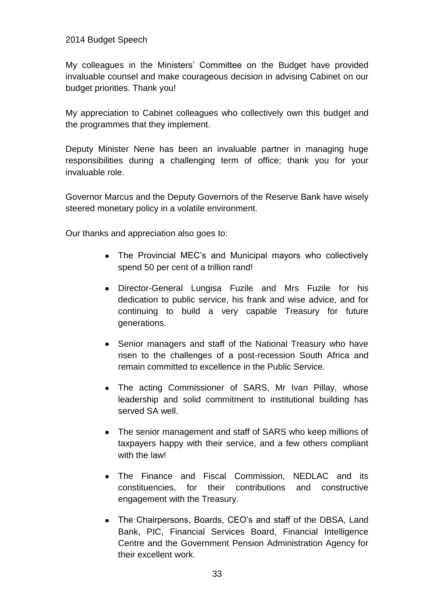My colleagues in the Ministers' Committee on the Budget have provided invaluable counsel and make courageous decision in advising Cabinet on our budget priorities. Thank you!

My appreciation to Cabinet colleagues who collectively own this budget and the programmes that they implement.

Deputy Minister Nene has been an invaluable partner in managing huge responsibilities during a challenging term of office; thank you for your invaluable role.

Governor Marcus and the Deputy Governors of the Reserve Bank have wisely steered monetary policy in a volatile environment.

Our thanks and appreciation also goes to:

- The Provincial MEC's and Municipal mayors who collectively spend 50 per cent of a trillion rand!
- Director-General Lungisa Fuzile and Mrs Fuzile for his dedication to public service, his frank and wise advice, and for continuing to build a very capable Treasury for future generations.
- Senior managers and staff of the National Treasury who have risen to the challenges of a post-recession South Africa and remain committed to excellence in the Public Service.
- The acting Commissioner of SARS, Mr Ivan Pillay, whose leadership and solid commitment to institutional building has served SA well.
- The senior management and staff of SARS who keep millions of taxpayers happy with their service, and a few others compliant with the law!
- The Finance and Fiscal Commission, NEDLAC and its constituencies, for their contributions and constructive engagement with the Treasury.
- The Chairpersons, Boards, CEO's and staff of the DBSA, Land Bank, PIC, Financial Services Board, Financial Intelligence Centre and the Government Pension Administration Agency for their excellent work.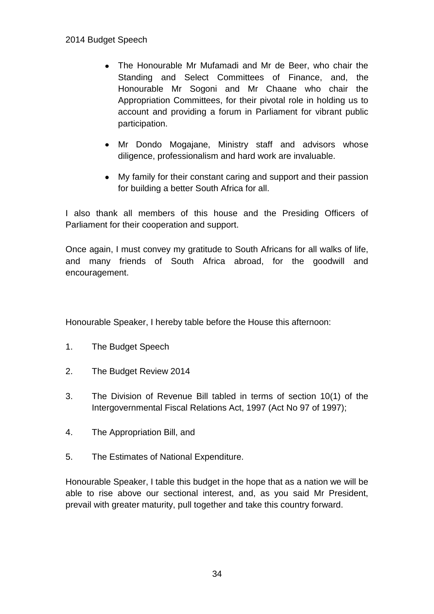- The Honourable Mr Mufamadi and Mr de Beer, who chair the Standing and Select Committees of Finance, and, the Honourable Mr Sogoni and Mr Chaane who chair the Appropriation Committees, for their pivotal role in holding us to account and providing a forum in Parliament for vibrant public participation.
- Mr Dondo Mogajane, Ministry staff and advisors whose diligence, professionalism and hard work are invaluable.
- My family for their constant caring and support and their passion for building a better South Africa for all.

I also thank all members of this house and the Presiding Officers of Parliament for their cooperation and support.

Once again, I must convey my gratitude to South Africans for all walks of life, and many friends of South Africa abroad, for the goodwill and encouragement.

Honourable Speaker, I hereby table before the House this afternoon:

- 1. The Budget Speech
- 2. The Budget Review 2014
- 3. The Division of Revenue Bill tabled in terms of section 10(1) of the Intergovernmental Fiscal Relations Act, 1997 (Act No 97 of 1997);
- 4. The Appropriation Bill, and
- 5. The Estimates of National Expenditure.

Honourable Speaker, I table this budget in the hope that as a nation we will be able to rise above our sectional interest, and, as you said Mr President, prevail with greater maturity, pull together and take this country forward.